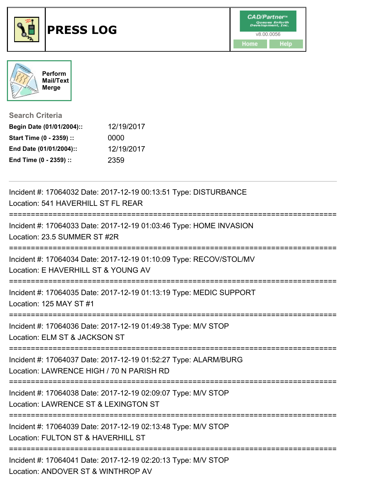



**Search Criteria**

| Begin Date (01/01/2004):: | 12/19/2017 |
|---------------------------|------------|
| Start Time (0 - 2359) ::  | 0000       |
| End Date (01/01/2004)::   | 12/19/2017 |
| End Time (0 - 2359) ::    | 2359       |

| Incident #: 17064032 Date: 2017-12-19 00:13:51 Type: DISTURBANCE<br>Location: 541 HAVERHILL ST FL REAR      |
|-------------------------------------------------------------------------------------------------------------|
| Incident #: 17064033 Date: 2017-12-19 01:03:46 Type: HOME INVASION<br>Location: 23.5 SUMMER ST #2R          |
| Incident #: 17064034 Date: 2017-12-19 01:10:09 Type: RECOV/STOL/MV<br>Location: E HAVERHILL ST & YOUNG AV   |
| Incident #: 17064035 Date: 2017-12-19 01:13:19 Type: MEDIC SUPPORT<br>Location: 125 MAY ST #1               |
| Incident #: 17064036 Date: 2017-12-19 01:49:38 Type: M/V STOP<br>Location: ELM ST & JACKSON ST              |
| Incident #: 17064037 Date: 2017-12-19 01:52:27 Type: ALARM/BURG<br>Location: LAWRENCE HIGH / 70 N PARISH RD |
| Incident #: 17064038 Date: 2017-12-19 02:09:07 Type: M/V STOP<br>Location: LAWRENCE ST & LEXINGTON ST       |
| Incident #: 17064039 Date: 2017-12-19 02:13:48 Type: M/V STOP<br>Location: FULTON ST & HAVERHILL ST         |
| Incident #: 17064041 Date: 2017-12-19 02:20:13 Type: M/V STOP<br>Location: ANDOVER ST & WINTHROP AV         |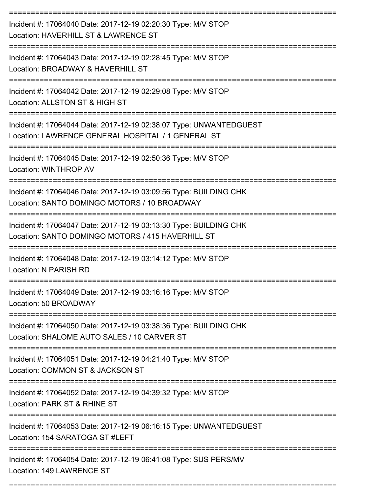| Incident #: 17064040 Date: 2017-12-19 02:20:30 Type: M/V STOP<br>Location: HAVERHILL ST & LAWRENCE ST                    |
|--------------------------------------------------------------------------------------------------------------------------|
| Incident #: 17064043 Date: 2017-12-19 02:28:45 Type: M/V STOP<br>Location: BROADWAY & HAVERHILL ST                       |
| Incident #: 17064042 Date: 2017-12-19 02:29:08 Type: M/V STOP<br>Location: ALLSTON ST & HIGH ST                          |
| Incident #: 17064044 Date: 2017-12-19 02:38:07 Type: UNWANTEDGUEST<br>Location: LAWRENCE GENERAL HOSPITAL / 1 GENERAL ST |
| Incident #: 17064045 Date: 2017-12-19 02:50:36 Type: M/V STOP<br>Location: WINTHROP AV                                   |
| Incident #: 17064046 Date: 2017-12-19 03:09:56 Type: BUILDING CHK<br>Location: SANTO DOMINGO MOTORS / 10 BROADWAY        |
| Incident #: 17064047 Date: 2017-12-19 03:13:30 Type: BUILDING CHK<br>Location: SANTO DOMINGO MOTORS / 415 HAVERHILL ST   |
| Incident #: 17064048 Date: 2017-12-19 03:14:12 Type: M/V STOP<br>Location: N PARISH RD                                   |
| Incident #: 17064049 Date: 2017-12-19 03:16:16 Type: M/V STOP<br>Location: 50 BROADWAY                                   |
| Incident #: 17064050 Date: 2017-12-19 03:38:36 Type: BUILDING CHK<br>Location: SHALOME AUTO SALES / 10 CARVER ST         |
| Incident #: 17064051 Date: 2017-12-19 04:21:40 Type: M/V STOP<br>Location: COMMON ST & JACKSON ST                        |
| Incident #: 17064052 Date: 2017-12-19 04:39:32 Type: M/V STOP<br>Location: PARK ST & RHINE ST                            |
| Incident #: 17064053 Date: 2017-12-19 06:16:15 Type: UNWANTEDGUEST<br>Location: 154 SARATOGA ST #LEFT                    |
| Incident #: 17064054 Date: 2017-12-19 06:41:08 Type: SUS PERS/MV<br>Location: 149 LAWRENCE ST                            |

===========================================================================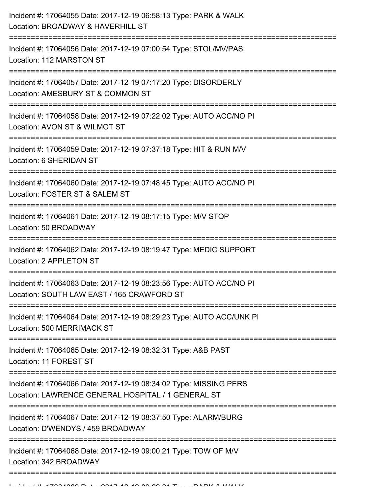| Incident #: 17064055 Date: 2017-12-19 06:58:13 Type: PARK & WALK<br>Location: BROADWAY & HAVERHILL ST                   |
|-------------------------------------------------------------------------------------------------------------------------|
| Incident #: 17064056 Date: 2017-12-19 07:00:54 Type: STOL/MV/PAS<br>Location: 112 MARSTON ST                            |
| Incident #: 17064057 Date: 2017-12-19 07:17:20 Type: DISORDERLY<br>Location: AMESBURY ST & COMMON ST                    |
| Incident #: 17064058 Date: 2017-12-19 07:22:02 Type: AUTO ACC/NO PI<br>Location: AVON ST & WILMOT ST                    |
| Incident #: 17064059 Date: 2017-12-19 07:37:18 Type: HIT & RUN M/V<br>Location: 6 SHERIDAN ST                           |
| Incident #: 17064060 Date: 2017-12-19 07:48:45 Type: AUTO ACC/NO PI<br>Location: FOSTER ST & SALEM ST                   |
| Incident #: 17064061 Date: 2017-12-19 08:17:15 Type: M/V STOP<br>Location: 50 BROADWAY                                  |
| Incident #: 17064062 Date: 2017-12-19 08:19:47 Type: MEDIC SUPPORT<br>Location: 2 APPLETON ST                           |
| Incident #: 17064063 Date: 2017-12-19 08:23:56 Type: AUTO ACC/NO PI<br>Location: SOUTH LAW EAST / 165 CRAWFORD ST       |
| Incident #: 17064064 Date: 2017-12-19 08:29:23 Type: AUTO ACC/UNK PI<br>Location: 500 MERRIMACK ST                      |
| Incident #: 17064065 Date: 2017-12-19 08:32:31 Type: A&B PAST<br>Location: 11 FOREST ST                                 |
| Incident #: 17064066 Date: 2017-12-19 08:34:02 Type: MISSING PERS<br>Location: LAWRENCE GENERAL HOSPITAL / 1 GENERAL ST |
| Incident #: 17064067 Date: 2017-12-19 08:37:50 Type: ALARM/BURG<br>Location: D'WENDYS / 459 BROADWAY                    |
| Incident #: 17064068 Date: 2017-12-19 09:00:21 Type: TOW OF M/V<br>Location: 342 BROADWAY                               |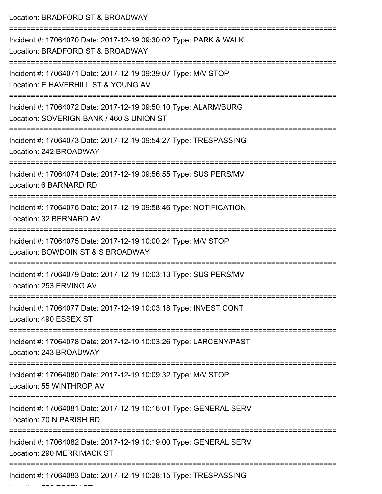| Location: BRADFORD ST & BROADWAY                                                                                                                               |
|----------------------------------------------------------------------------------------------------------------------------------------------------------------|
| Incident #: 17064070 Date: 2017-12-19 09:30:02 Type: PARK & WALK<br>Location: BRADFORD ST & BROADWAY                                                           |
| Incident #: 17064071 Date: 2017-12-19 09:39:07 Type: M/V STOP<br>Location: E HAVERHILL ST & YOUNG AV                                                           |
| Incident #: 17064072 Date: 2017-12-19 09:50:10 Type: ALARM/BURG<br>Location: SOVERIGN BANK / 460 S UNION ST                                                    |
| ------------------------<br>------------------------------------<br>Incident #: 17064073 Date: 2017-12-19 09:54:27 Type: TRESPASSING<br>Location: 242 BROADWAY |
| Incident #: 17064074 Date: 2017-12-19 09:56:55 Type: SUS PERS/MV<br>Location: 6 BARNARD RD                                                                     |
| Incident #: 17064076 Date: 2017-12-19 09:58:46 Type: NOTIFICATION<br>Location: 32 BERNARD AV                                                                   |
| Incident #: 17064075 Date: 2017-12-19 10:00:24 Type: M/V STOP<br>Location: BOWDOIN ST & S BROADWAY                                                             |
| ====================<br>Incident #: 17064079 Date: 2017-12-19 10:03:13 Type: SUS PERS/MV<br>Location: 253 ERVING AV                                            |
| Incident #: 17064077 Date: 2017-12-19 10:03:18 Type: INVEST CONT<br>Location: 490 ESSEX ST                                                                     |
| Incident #: 17064078 Date: 2017-12-19 10:03:26 Type: LARCENY/PAST<br>Location: 243 BROADWAY                                                                    |
| Incident #: 17064080 Date: 2017-12-19 10:09:32 Type: M/V STOP<br>Location: 55 WINTHROP AV                                                                      |
| Incident #: 17064081 Date: 2017-12-19 10:16:01 Type: GENERAL SERV<br>Location: 70 N PARISH RD                                                                  |
| Incident #: 17064082 Date: 2017-12-19 10:19:00 Type: GENERAL SERV<br>Location: 290 MERRIMACK ST                                                                |
| Incident #: 17064083 Date: 2017-12-19 10:28:15 Type: TRESPASSING                                                                                               |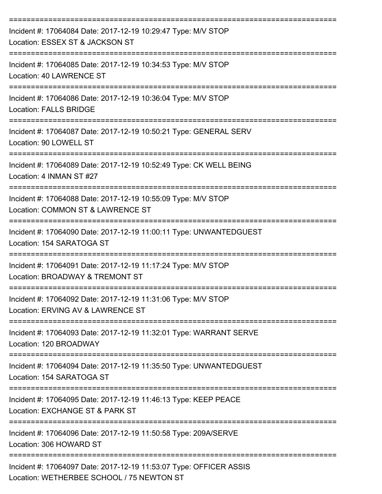| Incident #: 17064084 Date: 2017-12-19 10:29:47 Type: M/V STOP<br>Location: ESSEX ST & JACKSON ST                            |
|-----------------------------------------------------------------------------------------------------------------------------|
| Incident #: 17064085 Date: 2017-12-19 10:34:53 Type: M/V STOP<br><b>Location: 40 LAWRENCE ST</b>                            |
| Incident #: 17064086 Date: 2017-12-19 10:36:04 Type: M/V STOP<br><b>Location: FALLS BRIDGE</b>                              |
| Incident #: 17064087 Date: 2017-12-19 10:50:21 Type: GENERAL SERV<br>Location: 90 LOWELL ST                                 |
| Incident #: 17064089 Date: 2017-12-19 10:52:49 Type: CK WELL BEING<br>Location: 4 INMAN ST #27                              |
| Incident #: 17064088 Date: 2017-12-19 10:55:09 Type: M/V STOP<br>Location: COMMON ST & LAWRENCE ST                          |
| Incident #: 17064090 Date: 2017-12-19 11:00:11 Type: UNWANTEDGUEST<br>Location: 154 SARATOGA ST                             |
| =======================<br>Incident #: 17064091 Date: 2017-12-19 11:17:24 Type: M/V STOP<br>Location: BROADWAY & TREMONT ST |
| Incident #: 17064092 Date: 2017-12-19 11:31:06 Type: M/V STOP<br>Location: ERVING AV & LAWRENCE ST                          |
| Incident #: 17064093 Date: 2017-12-19 11:32:01 Type: WARRANT SERVE<br>Location: 120 BROADWAY                                |
| Incident #: 17064094 Date: 2017-12-19 11:35:50 Type: UNWANTEDGUEST<br>Location: 154 SARATOGA ST                             |
| Incident #: 17064095 Date: 2017-12-19 11:46:13 Type: KEEP PEACE<br>Location: EXCHANGE ST & PARK ST                          |
| Incident #: 17064096 Date: 2017-12-19 11:50:58 Type: 209A/SERVE<br>Location: 306 HOWARD ST                                  |
| Incident #: 17064097 Date: 2017-12-19 11:53:07 Type: OFFICER ASSIS<br>Location: WETHERBEE SCHOOL / 75 NEWTON ST             |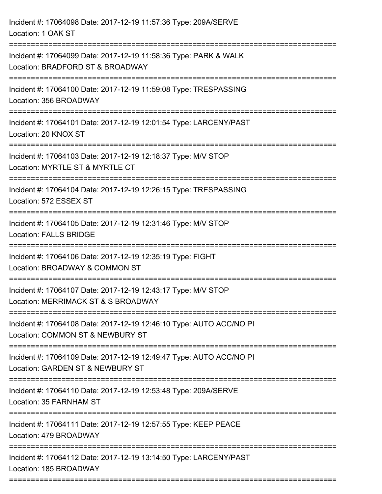| Incident #: 17064098 Date: 2017-12-19 11:57:36 Type: 209A/SERVE<br>Location: 1 OAK ST                                      |
|----------------------------------------------------------------------------------------------------------------------------|
| Incident #: 17064099 Date: 2017-12-19 11:58:36 Type: PARK & WALK<br>Location: BRADFORD ST & BROADWAY                       |
| Incident #: 17064100 Date: 2017-12-19 11:59:08 Type: TRESPASSING<br>Location: 356 BROADWAY<br>============================ |
| Incident #: 17064101 Date: 2017-12-19 12:01:54 Type: LARCENY/PAST<br>Location: 20 KNOX ST                                  |
| Incident #: 17064103 Date: 2017-12-19 12:18:37 Type: M/V STOP<br>Location: MYRTLE ST & MYRTLE CT                           |
| Incident #: 17064104 Date: 2017-12-19 12:26:15 Type: TRESPASSING<br>Location: 572 ESSEX ST                                 |
| Incident #: 17064105 Date: 2017-12-19 12:31:46 Type: M/V STOP<br><b>Location: FALLS BRIDGE</b>                             |
| Incident #: 17064106 Date: 2017-12-19 12:35:19 Type: FIGHT<br>Location: BROADWAY & COMMON ST                               |
| Incident #: 17064107 Date: 2017-12-19 12:43:17 Type: M/V STOP<br>Location: MERRIMACK ST & S BROADWAY                       |
| Incident #: 17064108 Date: 2017-12-19 12:46:10 Type: AUTO ACC/NO PI<br>Location: COMMON ST & NEWBURY ST                    |
| Incident #: 17064109 Date: 2017-12-19 12:49:47 Type: AUTO ACC/NO PI<br>Location: GARDEN ST & NEWBURY ST                    |
| Incident #: 17064110 Date: 2017-12-19 12:53:48 Type: 209A/SERVE<br>Location: 35 FARNHAM ST                                 |
| Incident #: 17064111 Date: 2017-12-19 12:57:55 Type: KEEP PEACE<br>Location: 479 BROADWAY                                  |
| Incident #: 17064112 Date: 2017-12-19 13:14:50 Type: LARCENY/PAST<br>Location: 185 BROADWAY                                |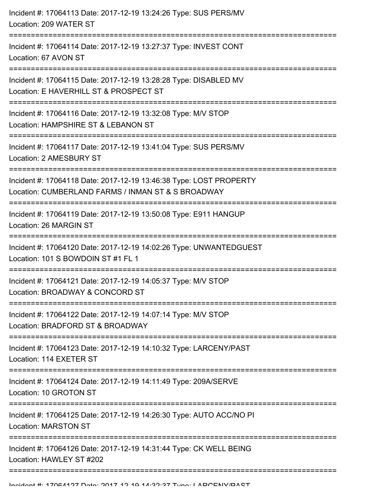| Incident #: 17064113 Date: 2017-12-19 13:24:26 Type: SUS PERS/MV<br>Location: 209 WATER ST                                       |
|----------------------------------------------------------------------------------------------------------------------------------|
| Incident #: 17064114 Date: 2017-12-19 13:27:37 Type: INVEST CONT<br>Location: 67 AVON ST                                         |
| Incident #: 17064115 Date: 2017-12-19 13:28:28 Type: DISABLED MV<br>Location: E HAVERHILL ST & PROSPECT ST                       |
| Incident #: 17064116 Date: 2017-12-19 13:32:08 Type: M/V STOP<br>Location: HAMPSHIRE ST & LEBANON ST                             |
| Incident #: 17064117 Date: 2017-12-19 13:41:04 Type: SUS PERS/MV<br>Location: 2 AMESBURY ST<br>----------------                  |
| Incident #: 17064118 Date: 2017-12-19 13:46:38 Type: LOST PROPERTY<br>Location: CUMBERLAND FARMS / INMAN ST & S BROADWAY         |
| Incident #: 17064119 Date: 2017-12-19 13:50:08 Type: E911 HANGUP<br>Location: 26 MARGIN ST                                       |
| Incident #: 17064120 Date: 2017-12-19 14:02:26 Type: UNWANTEDGUEST<br>Location: 101 S BOWDOIN ST #1 FL 1<br>-------------------- |
| Incident #: 17064121 Date: 2017-12-19 14:05:37 Type: M/V STOP<br>Location: BROADWAY & CONCORD ST                                 |
| Incident #: 17064122 Date: 2017-12-19 14:07:14 Type: M/V STOP<br>Location: BRADFORD ST & BROADWAY                                |
| Incident #: 17064123 Date: 2017-12-19 14:10:32 Type: LARCENY/PAST<br>Location: 114 EXETER ST                                     |
| Incident #: 17064124 Date: 2017-12-19 14:11:49 Type: 209A/SERVE<br>Location: 10 GROTON ST                                        |
| Incident #: 17064125 Date: 2017-12-19 14:26:30 Type: AUTO ACC/NO PI<br><b>Location: MARSTON ST</b>                               |
| Incident #: 17064126 Date: 2017-12-19 14:31:44 Type: CK WELL BEING<br>Location: HAWLEY ST #202                                   |
|                                                                                                                                  |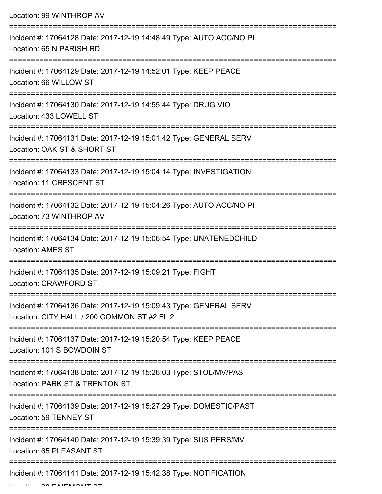| Location: 99 WINTHROP AV                                                                                                                                                |
|-------------------------------------------------------------------------------------------------------------------------------------------------------------------------|
| Incident #: 17064128 Date: 2017-12-19 14:48:49 Type: AUTO ACC/NO PI<br>Location: 65 N PARISH RD                                                                         |
| Incident #: 17064129 Date: 2017-12-19 14:52:01 Type: KEEP PEACE<br>Location: 66 WILLOW ST                                                                               |
| Incident #: 17064130 Date: 2017-12-19 14:55:44 Type: DRUG VIO<br>Location: 433 LOWELL ST                                                                                |
| Incident #: 17064131 Date: 2017-12-19 15:01:42 Type: GENERAL SERV<br>Location: OAK ST & SHORT ST                                                                        |
| Incident #: 17064133 Date: 2017-12-19 15:04:14 Type: INVESTIGATION<br>Location: 11 CRESCENT ST                                                                          |
| Incident #: 17064132 Date: 2017-12-19 15:04:26 Type: AUTO ACC/NO PI<br>Location: 73 WINTHROP AV                                                                         |
| Incident #: 17064134 Date: 2017-12-19 15:06:54 Type: UNATENEDCHILD<br><b>Location: AMES ST</b>                                                                          |
| ----------------------------------<br>Incident #: 17064135 Date: 2017-12-19 15:09:21 Type: FIGHT<br>Location: CRAWFORD ST                                               |
| ===============================<br>================<br>Incident #: 17064136 Date: 2017-12-19 15:09:43 Type: GENERAL SERV<br>Location: CITY HALL / 200 COMMON ST #2 FL 2 |
| Incident #: 17064137 Date: 2017-12-19 15:20:54 Type: KEEP PEACE<br>Location: 101 S BOWDOIN ST                                                                           |
| Incident #: 17064138 Date: 2017-12-19 15:26:03 Type: STOL/MV/PAS<br>Location: PARK ST & TRENTON ST                                                                      |
| Incident #: 17064139 Date: 2017-12-19 15:27:29 Type: DOMESTIC/PAST<br>Location: 59 TENNEY ST                                                                            |
| Incident #: 17064140 Date: 2017-12-19 15:39:39 Type: SUS PERS/MV<br>Location: 65 PLEASANT ST                                                                            |
| Incident #: 17064141 Date: 2017-12-19 15:42:38 Type: NOTIFICATION                                                                                                       |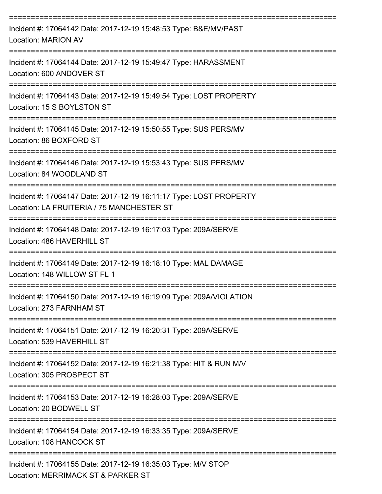| Incident #: 17064142 Date: 2017-12-19 15:48:53 Type: B&E/MV/PAST<br>Location: MARION AV                         |
|-----------------------------------------------------------------------------------------------------------------|
| Incident #: 17064144 Date: 2017-12-19 15:49:47 Type: HARASSMENT<br>Location: 600 ANDOVER ST                     |
| Incident #: 17064143 Date: 2017-12-19 15:49:54 Type: LOST PROPERTY<br>Location: 15 S BOYLSTON ST                |
| Incident #: 17064145 Date: 2017-12-19 15:50:55 Type: SUS PERS/MV<br>Location: 86 BOXFORD ST                     |
| Incident #: 17064146 Date: 2017-12-19 15:53:43 Type: SUS PERS/MV<br>Location: 84 WOODLAND ST                    |
| Incident #: 17064147 Date: 2017-12-19 16:11:17 Type: LOST PROPERTY<br>Location: LA FRUITERIA / 75 MANCHESTER ST |
| Incident #: 17064148 Date: 2017-12-19 16:17:03 Type: 209A/SERVE<br>Location: 486 HAVERHILL ST                   |
| Incident #: 17064149 Date: 2017-12-19 16:18:10 Type: MAL DAMAGE<br>Location: 148 WILLOW ST FL 1                 |
| Incident #: 17064150 Date: 2017-12-19 16:19:09 Type: 209A/VIOLATION<br>Location: 273 FARNHAM ST                 |
| Incident #: 17064151 Date: 2017-12-19 16:20:31 Type: 209A/SERVE<br>Location: 539 HAVERHILL ST                   |
| Incident #: 17064152 Date: 2017-12-19 16:21:38 Type: HIT & RUN M/V<br>Location: 305 PROSPECT ST                 |
| Incident #: 17064153 Date: 2017-12-19 16:28:03 Type: 209A/SERVE<br>Location: 20 BODWELL ST                      |
| Incident #: 17064154 Date: 2017-12-19 16:33:35 Type: 209A/SERVE<br>Location: 108 HANCOCK ST                     |
| Incident #: 17064155 Date: 2017-12-19 16:35:03 Type: M/V STOP<br>Location: MERRIMACK ST & PARKER ST             |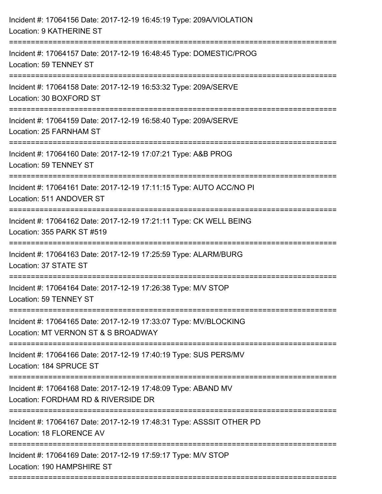| Incident #: 17064156 Date: 2017-12-19 16:45:19 Type: 209A/VIOLATION<br>Location: 9 KATHERINE ST                                    |
|------------------------------------------------------------------------------------------------------------------------------------|
| Incident #: 17064157 Date: 2017-12-19 16:48:45 Type: DOMESTIC/PROG<br>Location: 59 TENNEY ST                                       |
| Incident #: 17064158 Date: 2017-12-19 16:53:32 Type: 209A/SERVE<br>Location: 30 BOXFORD ST                                         |
| Incident #: 17064159 Date: 2017-12-19 16:58:40 Type: 209A/SERVE<br>Location: 25 FARNHAM ST                                         |
| Incident #: 17064160 Date: 2017-12-19 17:07:21 Type: A&B PROG<br>Location: 59 TENNEY ST                                            |
| Incident #: 17064161 Date: 2017-12-19 17:11:15 Type: AUTO ACC/NO PI<br>Location: 511 ANDOVER ST<br>----------------------------    |
| Incident #: 17064162 Date: 2017-12-19 17:21:11 Type: CK WELL BEING<br>Location: 355 PARK ST #519                                   |
| Incident #: 17064163 Date: 2017-12-19 17:25:59 Type: ALARM/BURG<br>Location: 37 STATE ST                                           |
| Incident #: 17064164 Date: 2017-12-19 17:26:38 Type: M/V STOP<br>Location: 59 TENNEY ST                                            |
| Incident #: 17064165 Date: 2017-12-19 17:33:07 Type: MV/BLOCKING<br>Location: MT VERNON ST & S BROADWAY                            |
| Incident #: 17064166 Date: 2017-12-19 17:40:19 Type: SUS PERS/MV<br>Location: 184 SPRUCE ST                                        |
| Incident #: 17064168 Date: 2017-12-19 17:48:09 Type: ABAND MV<br>Location: FORDHAM RD & RIVERSIDE DR                               |
| Incident #: 17064167 Date: 2017-12-19 17:48:31 Type: ASSSIT OTHER PD<br>Location: 18 FLORENCE AV                                   |
| Incident #: 17064169 Date: 2017-12-19 17:59:17 Type: M/V STOP<br>Location: 190 HAMPSHIRE ST<br>=================================== |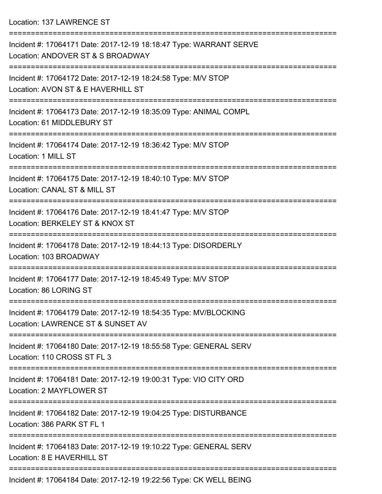Location: 137 LAWRENCE ST

=========================================================================== Incident #: 17064171 Date: 2017-12-19 18:18:47 Type: WARRANT SERVE Location: ANDOVER ST & S BROADWAY =========================================================================== Incident #: 17064172 Date: 2017-12-19 18:24:58 Type: M/V STOP Location: AVON ST & E HAVERHILL ST =========================================================================== Incident #: 17064173 Date: 2017-12-19 18:35:09 Type: ANIMAL COMPL Location: 61 MIDDLEBURY ST =========================================================================== Incident #: 17064174 Date: 2017-12-19 18:36:42 Type: M/V STOP Location: 1 MILL ST =========================================================================== Incident #: 17064175 Date: 2017-12-19 18:40:10 Type: M/V STOP Location: CANAL ST & MILL ST =========================================================================== Incident #: 17064176 Date: 2017-12-19 18:41:47 Type: M/V STOP Location: BERKELEY ST & KNOX ST =========================================================================== Incident #: 17064178 Date: 2017-12-19 18:44:13 Type: DISORDERLY Location: 103 BROADWAY =========================================================================== Incident #: 17064177 Date: 2017-12-19 18:45:49 Type: M/V STOP Location: 86 LORING ST =========================================================================== Incident #: 17064179 Date: 2017-12-19 18:54:35 Type: MV/BLOCKING Location: LAWRENCE ST & SUNSET AV =========================================================================== Incident #: 17064180 Date: 2017-12-19 18:55:58 Type: GENERAL SERV Location: 110 CROSS ST FL 3 =========================================================================== Incident #: 17064181 Date: 2017-12-19 19:00:31 Type: VIO CITY ORD Location: 2 MAYFLOWER ST =========================================================================== Incident #: 17064182 Date: 2017-12-19 19:04:25 Type: DISTURBANCE Location: 386 PARK ST FL 1 =========================================================================== Incident #: 17064183 Date: 2017-12-19 19:10:22 Type: GENERAL SERV Location: 8 E HAVERHILL ST =========================================================================== Incident #: 17064184 Date: 2017-12-19 19:22:56 Type: CK WELL BEING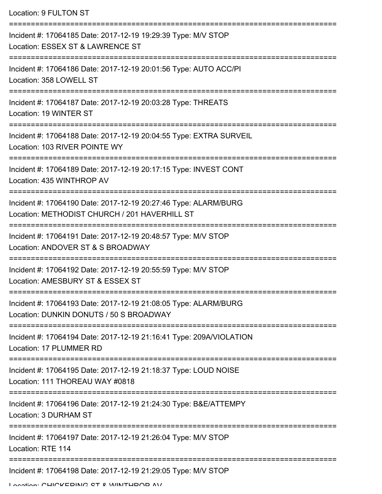| Location: 9 FULTON ST                                                                                            |
|------------------------------------------------------------------------------------------------------------------|
| Incident #: 17064185 Date: 2017-12-19 19:29:39 Type: M/V STOP<br>Location: ESSEX ST & LAWRENCE ST                |
| Incident #: 17064186 Date: 2017-12-19 20:01:56 Type: AUTO ACC/PI<br>Location: 358 LOWELL ST                      |
| Incident #: 17064187 Date: 2017-12-19 20:03:28 Type: THREATS<br>Location: 19 WINTER ST                           |
| Incident #: 17064188 Date: 2017-12-19 20:04:55 Type: EXTRA SURVEIL<br>Location: 103 RIVER POINTE WY              |
| Incident #: 17064189 Date: 2017-12-19 20:17:15 Type: INVEST CONT<br>Location: 435 WINTHROP AV                    |
| Incident #: 17064190 Date: 2017-12-19 20:27:46 Type: ALARM/BURG<br>Location: METHODIST CHURCH / 201 HAVERHILL ST |
| Incident #: 17064191 Date: 2017-12-19 20:48:57 Type: M/V STOP<br>Location: ANDOVER ST & S BROADWAY               |
| Incident #: 17064192 Date: 2017-12-19 20:55:59 Type: M/V STOP<br>Location: AMESBURY ST & ESSEX ST                |
| Incident #: 17064193 Date: 2017-12-19 21:08:05 Type: ALARM/BURG<br>Location: DUNKIN DONUTS / 50 S BROADWAY       |
| Incident #: 17064194 Date: 2017-12-19 21:16:41 Type: 209A/VIOLATION<br>Location: 17 PLUMMER RD                   |
| Incident #: 17064195 Date: 2017-12-19 21:18:37 Type: LOUD NOISE<br>Location: 111 THOREAU WAY #0818               |
| Incident #: 17064196 Date: 2017-12-19 21:24:30 Type: B&E/ATTEMPY<br>Location: 3 DURHAM ST                        |
| Incident #: 17064197 Date: 2017-12-19 21:26:04 Type: M/V STOP<br>Location: RTE 114                               |
| Incident #: 17064198 Date: 2017-12-19 21:29:05 Type: M/V STOP                                                    |

Location: CHICKEDING CT & WINTHDOD AV